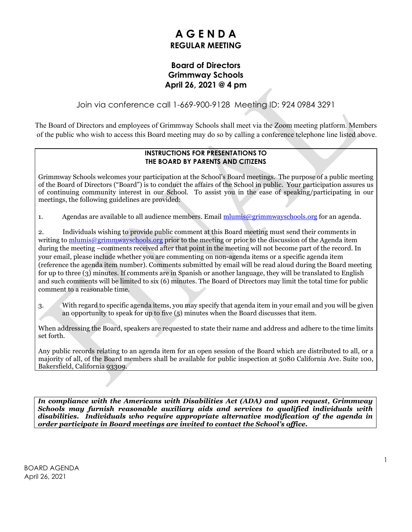# **A G E N D A REGULAR MEETING**

#### **Board of Directors Grimmway Schools April 26, 2021 @ 4 pm**

Join via conference call 1-669-900-9128 Meeting ID: 924 0984 3291

The Board of Directors and employees of Grimmway Schools shall meet via the Zoom meeting platform. Members of the public who wish to access this Board meeting may do so by calling a conference telephone line listed above.

#### **INSTRUCTIONS FOR PRESENTATIONS TO THE BOARD BY PARENTS AND CITIZENS**

Grimmway Schools welcomes your participation at the School's Board meetings. The purpose of a public meeting of the Board of Directors ("Board") is to conduct the affairs of the School in public. Your participation assures us of continuing community interest in our School. To assist you in the ease of speaking/participating in our meetings, the following guidelines are provided:

1. Agendas are available to all audience members. Email [mlumis@grimmwayschools.org](mailto:mlumis@grimmwayschools.org) for an agenda.

2. Individuals wishing to provide public comment at this Board meeting must send their comments in writing to [mlumis@grimmwayschools.org](mailto:mlumis@grimmwayschools.org) prior to the meeting or prior to the discussion of the Agenda item during the meeting –comments received after that point in the meeting will not become part of the record. In your email, please include whether you are commenting on non-agenda items or a specific agenda item (reference the agenda item number). Comments submitted by email will be read aloud during the Board meeting for up to three (3) minutes. If comments are in Spanish or another language, they will be translated to English and such comments will be limited to six (6) minutes. The Board of Directors may limit the total time for public comment to a reasonable time.

3. With regard to specific agenda items, you may specify that agenda item in your email and you will be given an opportunity to speak for up to five (5) minutes when the Board discusses that item.

When addressing the Board, speakers are requested to state their name and address and adhere to the time limits set forth.

Any public records relating to an agenda item for an open session of the Board which are distributed to all, or a majority of all, of the Board members shall be available for public inspection at 5080 California Ave. Suite 100, Bakersfield, California 93309.

*In compliance with the Americans with Disabilities Act (ADA) and upon request, Grimmway Schools may furnish reasonable auxiliary aids and services to qualified individuals with disabilities. Individuals who require appropriate alternative modification of the agenda in order participate in Board meetings are invited to contact the School's office.*

BOARD AGENDA April 26, 2021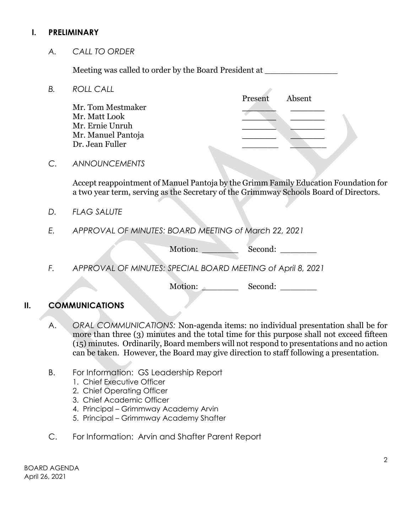#### **I. PRELIMINARY**

*A. CALL TO ORDER*

Meeting was called to order by the Board President at \_\_\_\_\_\_\_\_\_\_\_\_\_\_

*B. ROLL CALL*

Present Absent Mr. Tom Mestmaker **\_\_\_\_\_\_ \_\_\_\_\_\_** Mr. Matt Look **\_\_\_\_\_\_ \_\_\_\_\_\_** Mr. Ernie Unruh **\_\_\_\_\_\_ \_\_\_\_\_\_** Mr. Manuel Pantoja **\_\_\_\_\_\_ \_\_\_\_\_\_** Dr. Jean Fuller

*C. ANNOUNCEMENTS*

Accept reappointment of Manuel Pantoja by the Grimm Family Education Foundation for a tw0 year term, serving as the Secretary of the Grimmway Schools Board of Directors.

- *D. FLAG SALUTE*
- *E. APPROVAL OF MINUTES: BOARD MEETING of March 22, 2021*

Motion: Second: \_\_\_\_\_\_\_

*F. APPROVAL OF MINUTES: SPECIAL BOARD MEETING of April 8, 2021* 

Motion: Second:

#### **II. COMMUNICATIONS**

A. *ORAL COMMUNICATIONS:* Non-agenda items: no individual presentation shall be for more than three (3) minutes and the total time for this purpose shall not exceed fifteen (15) minutes. Ordinarily, Board members will not respond to presentations and no action can be taken. However, the Board may give direction to staff following a presentation.

- B. For Information: GS Leadership Report
	- 1. Chief Executive Officer
	- 2. Chief Operating Officer
	- 3. Chief Academic Officer
	- 4. Principal Grimmway Academy Arvin
	- 5. Principal Grimmway Academy Shafter
- C. For Information: Arvin and Shafter Parent Report

BOARD AGENDA April 26, 2021